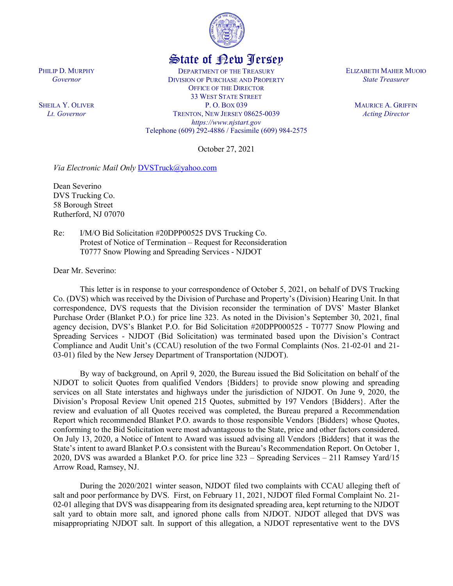

## State of New Jersey

DEPARTMENT OF THE TREASURY DIVISION OF PURCHASE AND PROPERTY OFFICE OF THE DIRECTOR 33 WEST STATE STREET P. O. BOX 039 TRENTON, NEW JERSEY 08625-0039 *https://www.njstart.gov* Telephone (609) 292-4886 / Facsimile (609) 984-2575

October 27, 2021

*Via Electronic Mail Only* [DVSTruck@yahoo.com](mailto:DVSTruck@yahoo.com)

Dean Severino DVS Trucking Co. 58 Borough Street Rutherford, NJ 07070

PHILIP D. MURPHY *Governor*

SHEILA Y. OLIVER *Lt. Governor*

> Re: I/M/O Bid Solicitation #20DPP00525 DVS Trucking Co. Protest of Notice of Termination – Request for Reconsideration T0777 Snow Plowing and Spreading Services - NJDOT

Dear Mr. Severino:

This letter is in response to your correspondence of October 5, 2021, on behalf of DVS Trucking Co. (DVS) which was received by the Division of Purchase and Property's (Division) Hearing Unit. In that correspondence, DVS requests that the Division reconsider the termination of DVS' Master Blanket Purchase Order (Blanket P.O.) for price line 323. As noted in the Division's September 30, 2021, final agency decision, DVS's Blanket P.O. for Bid Solicitation #20DPP000525 - T0777 Snow Plowing and Spreading Services - NJDOT (Bid Solicitation) was terminated based upon the Division's Contract Compliance and Audit Unit's (CCAU) resolution of the two Formal Complaints (Nos. 21-02-01 and 21- 03-01) filed by the New Jersey Department of Transportation (NJDOT).

By way of background, on April 9, 2020, the Bureau issued the Bid Solicitation on behalf of the NJDOT to solicit Quotes from qualified Vendors {Bidders} to provide snow plowing and spreading services on all State interstates and highways under the jurisdiction of NJDOT. On June 9, 2020, the Division's Proposal Review Unit opened 215 Quotes, submitted by 197 Vendors {Bidders}. After the review and evaluation of all Quotes received was completed, the Bureau prepared a Recommendation Report which recommended Blanket P.O. awards to those responsible Vendors {Bidders} whose Quotes, conforming to the Bid Solicitation were most advantageous to the State, price and other factors considered. On July 13, 2020, a Notice of Intent to Award was issued advising all Vendors {Bidders} that it was the State's intent to award Blanket P.O.s consistent with the Bureau's Recommendation Report. On October 1, 2020, DVS was awarded a Blanket P.O. for price line 323 – Spreading Services – 211 Ramsey Yard/15 Arrow Road, Ramsey, NJ.

During the 2020/2021 winter season, NJDOT filed two complaints with CCAU alleging theft of salt and poor performance by DVS. First, on February 11, 2021, NJDOT filed Formal Complaint No. 21- 02-01 alleging that DVS was disappearing from its designated spreading area, kept returning to the NJDOT salt yard to obtain more salt, and ignored phone calls from NJDOT. NJDOT alleged that DVS was misappropriating NJDOT salt. In support of this allegation, a NJDOT representative went to the DVS

ELIZABETH MAHER MUOIO *State Treasurer*

> MAURICE A. GRIFFIN *Acting Director*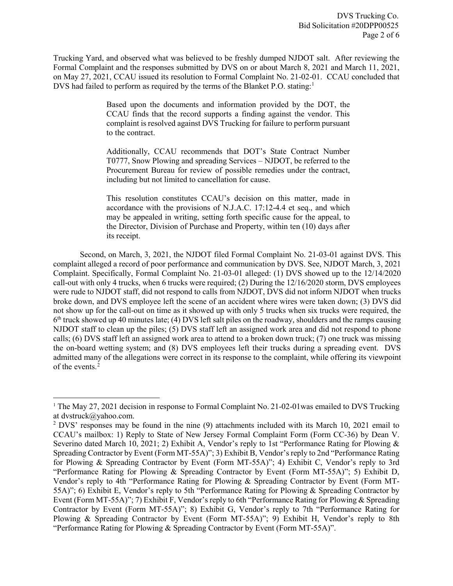Trucking Yard, and observed what was believed to be freshly dumped NJDOT salt. After reviewing the Formal Complaint and the responses submitted by DVS on or about March 8, 2021 and March 11, 2021, on May 27, 2021, CCAU issued its resolution to Formal Complaint No. 21-02-01. CCAU concluded that DVS had failed to perform as required by the terms of the Blanket P.O. stating:<sup>1</sup>

> Based upon the documents and information provided by the DOT, the CCAU finds that the record supports a finding against the vendor. This complaint is resolved against DVS Trucking for failure to perform pursuant to the contract.

> Additionally, CCAU recommends that DOT's State Contract Number T0777, Snow Plowing and spreading Services – NJDOT, be referred to the Procurement Bureau for review of possible remedies under the contract, including but not limited to cancellation for cause.

> This resolution constitutes CCAU's decision on this matter, made in accordance with the provisions of N.J.A.C. 17:12-4.4 et seq., and which may be appealed in writing, setting forth specific cause for the appeal, to the Director, Division of Purchase and Property, within ten (10) days after its receipt.

Second, on March, 3, 2021, the NJDOT filed Formal Complaint No. 21-03-01 against DVS. This complaint alleged a record of poor performance and communication by DVS. See, NJDOT March, 3, 2021 Complaint. Specifically, Formal Complaint No. 21-03-01 alleged: (1) DVS showed up to the 12/14/2020 call-out with only 4 trucks, when 6 trucks were required; (2) During the 12/16/2020 storm, DVS employees were rude to NJDOT staff, did not respond to calls from NJDOT, DVS did not inform NJDOT when trucks broke down, and DVS employee left the scene of an accident where wires were taken down; (3) DVS did not show up for the call-out on time as it showed up with only 5 trucks when six trucks were required, the  $6<sup>th</sup>$  truck showed up 40 minutes late; (4) DVS left salt piles on the roadway, shoulders and the ramps causing NJDOT staff to clean up the piles; (5) DVS staff left an assigned work area and did not respond to phone calls; (6) DVS staff left an assigned work area to attend to a broken down truck; (7) one truck was missing the on-board wetting system; and (8) DVS employees left their trucks during a spreading event. DVS admitted many of the allegations were correct in its response to the complaint, while offering its viewpoint of the events.<sup>[2](#page-1-1)</sup>

<span id="page-1-0"></span><sup>&</sup>lt;sup>1</sup> The May 27, 2021 decision in response to Formal Complaint No. 21-02-01 was emailed to DVS Trucking at dvstruck@yahoo.com.

<span id="page-1-1"></span><sup>&</sup>lt;sup>2</sup> DVS' responses may be found in the nine (9) attachments included with its March 10, 2021 email to CCAU's mailbox: 1) Reply to State of New Jersey Formal Complaint Form (Form CC-36) by Dean V. Severino dated March 10, 2021; 2) Exhibit A, Vendor's reply to 1st "Performance Rating for Plowing & Spreading Contractor by Event (Form MT-55A)"; 3) Exhibit B, Vendor's reply to 2nd "Performance Rating for Plowing & Spreading Contractor by Event (Form MT-55A)"; 4) Exhibit C, Vendor's reply to 3rd "Performance Rating for Plowing & Spreading Contractor by Event (Form MT-55A)"; 5) Exhibit D, Vendor's reply to 4th "Performance Rating for Plowing & Spreading Contractor by Event (Form MT-55A)"; 6) Exhibit E, Vendor's reply to 5th "Performance Rating for Plowing & Spreading Contractor by Event (Form MT-55A)"; 7) Exhibit F, Vendor's reply to 6th "Performance Rating for Plowing & Spreading Contractor by Event (Form MT-55A)"; 8) Exhibit G, Vendor's reply to 7th "Performance Rating for Plowing & Spreading Contractor by Event (Form MT-55A)"; 9) Exhibit H, Vendor's reply to 8th "Performance Rating for Plowing & Spreading Contractor by Event (Form MT-55A)".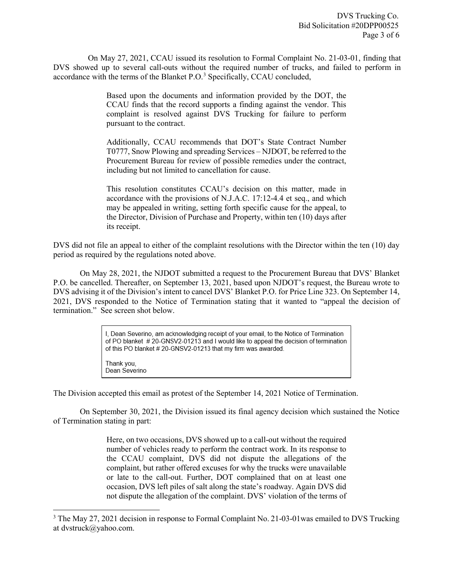On May 27, 2021, CCAU issued its resolution to Formal Complaint No. 21-03-01, finding that DVS showed up to several call-outs without the required number of trucks, and failed to perform in accordance with the terms of the Blanket P.O.<sup>[3](#page-2-0)</sup> Specifically, CCAU concluded,

> Based upon the documents and information provided by the DOT, the CCAU finds that the record supports a finding against the vendor. This complaint is resolved against DVS Trucking for failure to perform pursuant to the contract.

> Additionally, CCAU recommends that DOT's State Contract Number T0777, Snow Plowing and spreading Services – NJDOT, be referred to the Procurement Bureau for review of possible remedies under the contract, including but not limited to cancellation for cause.

> This resolution constitutes CCAU's decision on this matter, made in accordance with the provisions of N.J.A.C. 17:12-4.4 et seq., and which may be appealed in writing, setting forth specific cause for the appeal, to the Director, Division of Purchase and Property, within ten (10) days after its receipt.

DVS did not file an appeal to either of the complaint resolutions with the Director within the ten (10) day period as required by the regulations noted above.

On May 28, 2021, the NJDOT submitted a request to the Procurement Bureau that DVS' Blanket P.O. be cancelled. Thereafter, on September 13, 2021, based upon NJDOT's request, the Bureau wrote to DVS advising it of the Division's intent to cancel DVS' Blanket P.O. for Price Line 323. On September 14, 2021, DVS responded to the Notice of Termination stating that it wanted to "appeal the decision of termination." See screen shot below.

> I, Dean Severino, am acknowledging receipt of your email, to the Notice of Termination of PO blanket #20-GNSV2-01213 and I would like to appeal the decision of termination of this PO blanket #20-GNSV2-01213 that my firm was awarded.

Thank you, Dean Severino

The Division accepted this email as protest of the September 14, 2021 Notice of Termination.

On September 30, 2021, the Division issued its final agency decision which sustained the Notice of Termination stating in part:

> Here, on two occasions, DVS showed up to a call-out without the required number of vehicles ready to perform the contract work. In its response to the CCAU complaint, DVS did not dispute the allegations of the complaint, but rather offered excuses for why the trucks were unavailable or late to the call-out. Further, DOT complained that on at least one occasion, DVS left piles of salt along the state's roadway. Again DVS did not dispute the allegation of the complaint. DVS' violation of the terms of

<span id="page-2-0"></span><sup>&</sup>lt;sup>3</sup> The May 27, 2021 decision in response to Formal Complaint No. 21-03-01 was emailed to DVS Trucking at dvstruck@yahoo.com.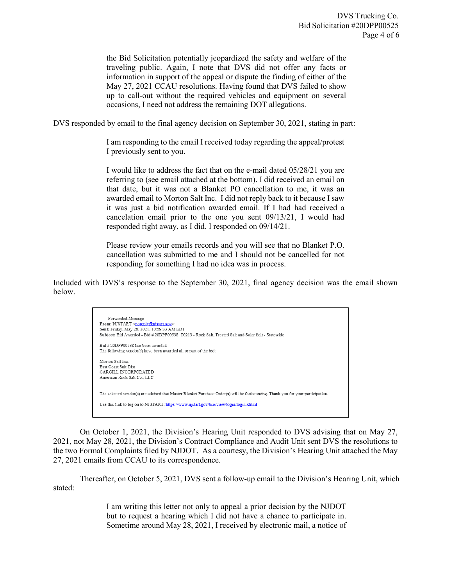the Bid Solicitation potentially jeopardized the safety and welfare of the traveling public. Again, I note that DVS did not offer any facts or information in support of the appeal or dispute the finding of either of the May 27, 2021 CCAU resolutions. Having found that DVS failed to show up to call-out without the required vehicles and equipment on several occasions, I need not address the remaining DOT allegations.

DVS responded by email to the final agency decision on September 30, 2021, stating in part:

I am responding to the email I received today regarding the appeal/protest I previously sent to you.

I would like to address the fact that on the e-mail dated 05/28/21 you are referring to (see email attached at the bottom). I did received an email on that date, but it was not a Blanket PO cancellation to me, it was an awarded email to Morton Salt Inc. I did not reply back to it because I saw it was just a bid notification awarded email. If I had had received a cancelation email prior to the one you sent 09/13/21, I would had responded right away, as I did. I responded on 09/14/21.

Please review your emails records and you will see that no Blanket P.O. cancellation was submitted to me and I should not be cancelled for not responding for something I had no idea was in process.

Included with DVS's response to the September 30, 2021, final agency decision was the email shown below.



On October 1, 2021, the Division's Hearing Unit responded to DVS advising that on May 27, 2021, not May 28, 2021, the Division's Contract Compliance and Audit Unit sent DVS the resolutions to the two Formal Complaints filed by NJDOT. As a courtesy, the Division's Hearing Unit attached the May 27, 2021 emails from CCAU to its correspondence.

Thereafter, on October 5, 2021, DVS sent a follow-up email to the Division's Hearing Unit, which stated:

> I am writing this letter not only to appeal a prior decision by the NJDOT but to request a hearing which I did not have a chance to participate in. Sometime around May 28, 2021, I received by electronic mail, a notice of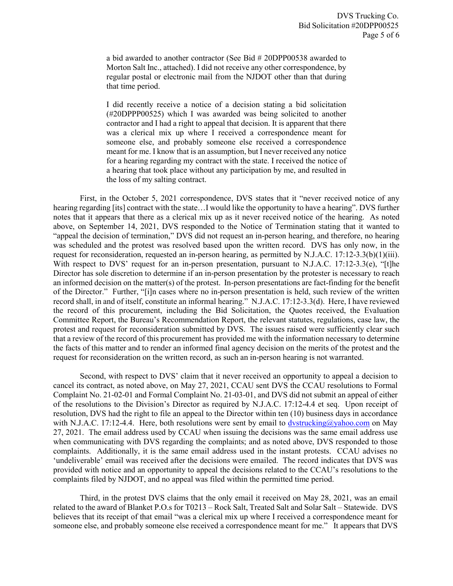a bid awarded to another contractor (See Bid # 20DPP00538 awarded to Morton Salt Inc., attached). I did not receive any other correspondence, by regular postal or electronic mail from the NJDOT other than that during that time period.

I did recently receive a notice of a decision stating a bid solicitation (#20DPPP00525) which I was awarded was being solicited to another contractor and I had a right to appeal that decision. It is apparent that there was a clerical mix up where I received a correspondence meant for someone else, and probably someone else received a correspondence meant for me. I know that is an assumption, but I never received any notice for a hearing regarding my contract with the state. I received the notice of a hearing that took place without any participation by me, and resulted in the loss of my salting contract.

First, in the October 5, 2021 correspondence, DVS states that it "never received notice of any hearing regarding [its] contract with the state…I would like the opportunity to have a hearing". DVS further notes that it appears that there as a clerical mix up as it never received notice of the hearing. As noted above, on September 14, 2021, DVS responded to the Notice of Termination stating that it wanted to "appeal the decision of termination," DVS did not request an in-person hearing, and therefore, no hearing was scheduled and the protest was resolved based upon the written record. DVS has only now, in the request for reconsideration, requested an in-person hearing, as permitted by N.J.A.C. 17:12-3.3(b)(1)(iii). With respect to DVS' request for an in-person presentation, pursuant to N.J.A.C. 17:12-3.3(e), "[t]he Director has sole discretion to determine if an in-person presentation by the protester is necessary to reach an informed decision on the matter(s) of the protest. In-person presentations are fact-finding for the benefit of the Director." Further, "[i]n cases where no in-person presentation is held, such review of the written record shall, in and of itself, constitute an informal hearing." N.J.A.C. 17:12-3.3(d). Here, I have reviewed the record of this procurement, including the Bid Solicitation, the Quotes received, the Evaluation Committee Report, the Bureau's Recommendation Report, the relevant statutes, regulations, case law, the protest and request for reconsideration submitted by DVS. The issues raised were sufficiently clear such that a review of the record of this procurement has provided me with the information necessary to determine the facts of this matter and to render an informed final agency decision on the merits of the protest and the request for reconsideration on the written record, as such an in-person hearing is not warranted.

Second, with respect to DVS' claim that it never received an opportunity to appeal a decision to cancel its contract, as noted above, on May 27, 2021, CCAU sent DVS the CCAU resolutions to Formal Complaint No. 21-02-01 and Formal Complaint No. 21-03-01, and DVS did not submit an appeal of either of the resolutions to the Division's Director as required by N.J.A.C. 17:12-4.4 et seq. Upon receipt of resolution, DVS had the right to file an appeal to the Director within ten (10) business days in accordance with N.J.A.C. 17:12-4.4. Here, both resolutions were sent by email to  $\frac{dvstrucking@yahoo.com}{dvstrucking@yahoo.com}$  on May 27, 2021. The email address used by CCAU when issuing the decisions was the same email address use when communicating with DVS regarding the complaints; and as noted above, DVS responded to those complaints. Additionally, it is the same email address used in the instant protests. CCAU advises no 'undeliverable' email was received after the decisions were emailed. The record indicates that DVS was provided with notice and an opportunity to appeal the decisions related to the CCAU's resolutions to the complaints filed by NJDOT, and no appeal was filed within the permitted time period.

Third, in the protest DVS claims that the only email it received on May 28, 2021, was an email related to the award of Blanket P.O.s for T0213 – Rock Salt, Treated Salt and Solar Salt – Statewide. DVS believes that its receipt of that email "was a clerical mix up where I received a correspondence meant for someone else, and probably someone else received a correspondence meant for me." It appears that DVS